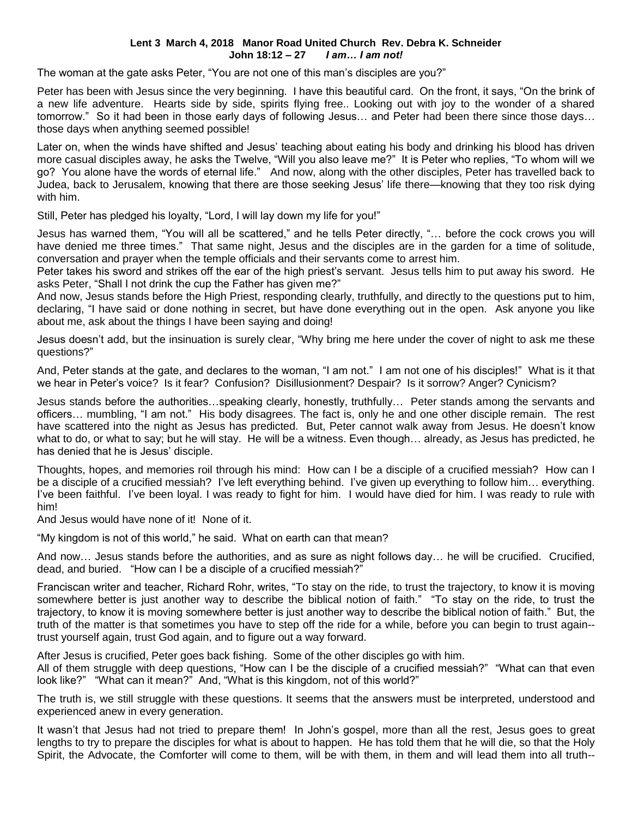## **Lent 3 March 4, 2018 Manor Road United Church Rev. Debra K. Schneider John 18:12 – 27** *I am… I am not!*

The woman at the gate asks Peter, "You are not one of this man's disciples are you?"

Peter has been with Jesus since the very beginning. I have this beautiful card. On the front, it says, "On the brink of a new life adventure. Hearts side by side, spirits flying free.. Looking out with joy to the wonder of a shared tomorrow." So it had been in those early days of following Jesus… and Peter had been there since those days… those days when anything seemed possible!

Later on, when the winds have shifted and Jesus' teaching about eating his body and drinking his blood has driven more casual disciples away, he asks the Twelve, "Will you also leave me?" It is Peter who replies, "To whom will we go? You alone have the words of eternal life." And now, along with the other disciples, Peter has travelled back to Judea, back to Jerusalem, knowing that there are those seeking Jesus' life there—knowing that they too risk dying with him.

Still, Peter has pledged his loyalty, "Lord, I will lay down my life for you!"

Jesus has warned them, "You will all be scattered," and he tells Peter directly, "… before the cock crows you will have denied me three times." That same night, Jesus and the disciples are in the garden for a time of solitude, conversation and prayer when the temple officials and their servants come to arrest him.

Peter takes his sword and strikes off the ear of the high priest's servant. Jesus tells him to put away his sword. He asks Peter, "Shall I not drink the cup the Father has given me?"

And now, Jesus stands before the High Priest, responding clearly, truthfully, and directly to the questions put to him, declaring, "I have said or done nothing in secret, but have done everything out in the open. Ask anyone you like about me, ask about the things I have been saying and doing!

Jesus doesn't add, but the insinuation is surely clear, "Why bring me here under the cover of night to ask me these questions?"

And, Peter stands at the gate, and declares to the woman, "I am not." I am not one of his disciples!" What is it that we hear in Peter's voice? Is it fear? Confusion? Disillusionment? Despair? Is it sorrow? Anger? Cynicism?

Jesus stands before the authorities…speaking clearly, honestly, truthfully… Peter stands among the servants and officers… mumbling, "I am not." His body disagrees. The fact is, only he and one other disciple remain. The rest have scattered into the night as Jesus has predicted. But, Peter cannot walk away from Jesus. He doesn't know what to do, or what to say; but he will stay. He will be a witness. Even though… already, as Jesus has predicted, he has denied that he is Jesus' disciple.

Thoughts, hopes, and memories roil through his mind: How can I be a disciple of a crucified messiah? How can I be a disciple of a crucified messiah? I've left everything behind. I've given up everything to follow him… everything. I've been faithful. I've been loyal. I was ready to fight for him. I would have died for him. I was ready to rule with him!

And Jesus would have none of it! None of it.

"My kingdom is not of this world," he said. What on earth can that mean?

And now… Jesus stands before the authorities, and as sure as night follows day… he will be crucified. Crucified, dead, and buried. "How can I be a disciple of a crucified messiah?"

Franciscan writer and teacher, Richard Rohr, writes, "To stay on the ride, to trust the trajectory, to know it is moving somewhere better is just another way to describe the biblical notion of faith." "To stay on the ride, to trust the trajectory, to know it is moving somewhere better is just another way to describe the biblical notion of faith." But, the truth of the matter is that sometimes you have to step off the ride for a while, before you can begin to trust again- trust yourself again, trust God again, and to figure out a way forward.

After Jesus is crucified, Peter goes back fishing. Some of the other disciples go with him.

All of them struggle with deep questions, "How can I be the disciple of a crucified messiah?" "What can that even look like?" "What can it mean?" And, "What is this kingdom, not of this world?"

The truth is, we still struggle with these questions. It seems that the answers must be interpreted, understood and experienced anew in every generation.

It wasn't that Jesus had not tried to prepare them! In John's gospel, more than all the rest, Jesus goes to great lengths to try to prepare the disciples for what is about to happen. He has told them that he will die, so that the Holy Spirit, the Advocate, the Comforter will come to them, will be with them, in them and will lead them into all truth--